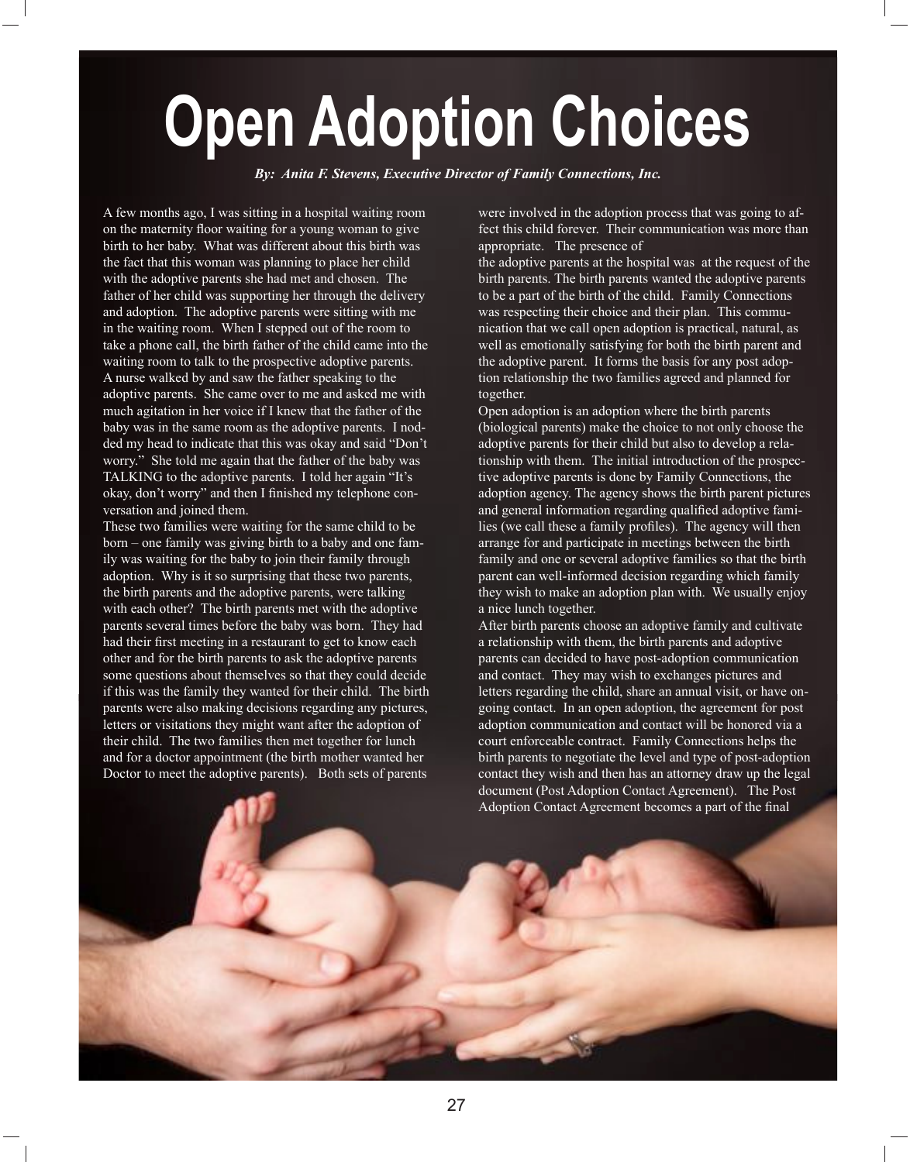## **Open Adoption Choices**

*By: Anita F. Stevens, Executive Director of Family Connections, Inc.* 

A few months ago, I was sitting in a hospital waiting room on the maternity floor waiting for a young woman to give birth to her baby. What was different about this birth was the fact that this woman was planning to place her child with the adoptive parents she had met and chosen. The father of her child was supporting her through the delivery and adoption. The adoptive parents were sitting with me in the waiting room. When I stepped out of the room to take a phone call, the birth father of the child came into the waiting room to talk to the prospective adoptive parents. A nurse walked by and saw the father speaking to the adoptive parents. She came over to me and asked me with much agitation in her voice if I knew that the father of the baby was in the same room as the adoptive parents. I nodded my head to indicate that this was okay and said "Don't worry." She told me again that the father of the baby was TALKING to the adoptive parents. I told her again "It's okay, don't worry" and then I finished my telephone conversation and joined them.

These two families were waiting for the same child to be born – one family was giving birth to a baby and one family was waiting for the baby to join their family through adoption. Why is it so surprising that these two parents, the birth parents and the adoptive parents, were talking with each other? The birth parents met with the adoptive parents several times before the baby was born. They had had their first meeting in a restaurant to get to know each other and for the birth parents to ask the adoptive parents some questions about themselves so that they could decide if this was the family they wanted for their child. The birth parents were also making decisions regarding any pictures, letters or visitations they might want after the adoption of their child. The two families then met together for lunch and for a doctor appointment (the birth mother wanted her Doctor to meet the adoptive parents). Both sets of parents

were involved in the adoption process that was going to affect this child forever. Their communication was more than appropriate. The presence of

the adoptive parents at the hospital was at the request of the birth parents. The birth parents wanted the adoptive parents to be a part of the birth of the child. Family Connections was respecting their choice and their plan. This communication that we call open adoption is practical, natural, as well as emotionally satisfying for both the birth parent and the adoptive parent. It forms the basis for any post adoption relationship the two families agreed and planned for together.

Open adoption is an adoption where the birth parents (biological parents) make the choice to not only choose the adoptive parents for their child but also to develop a relationship with them. The initial introduction of the prospective adoptive parents is done by Family Connections, the adoption agency. The agency shows the birth parent pictures and general information regarding qualified adoptive families (we call these a family profiles). The agency will then arrange for and participate in meetings between the birth family and one or several adoptive families so that the birth parent can well-informed decision regarding which family they wish to make an adoption plan with. We usually enjoy a nice lunch together.

After birth parents choose an adoptive family and cultivate a relationship with them, the birth parents and adoptive parents can decided to have post-adoption communication and contact. They may wish to exchanges pictures and letters regarding the child, share an annual visit, or have ongoing contact. In an open adoption, the agreement for post adoption communication and contact will be honored via a court enforceable contract. Family Connections helps the birth parents to negotiate the level and type of post-adoption contact they wish and then has an attorney draw up the legal document (Post Adoption Contact Agreement). The Post Adoption Contact Agreement becomes a part of the final